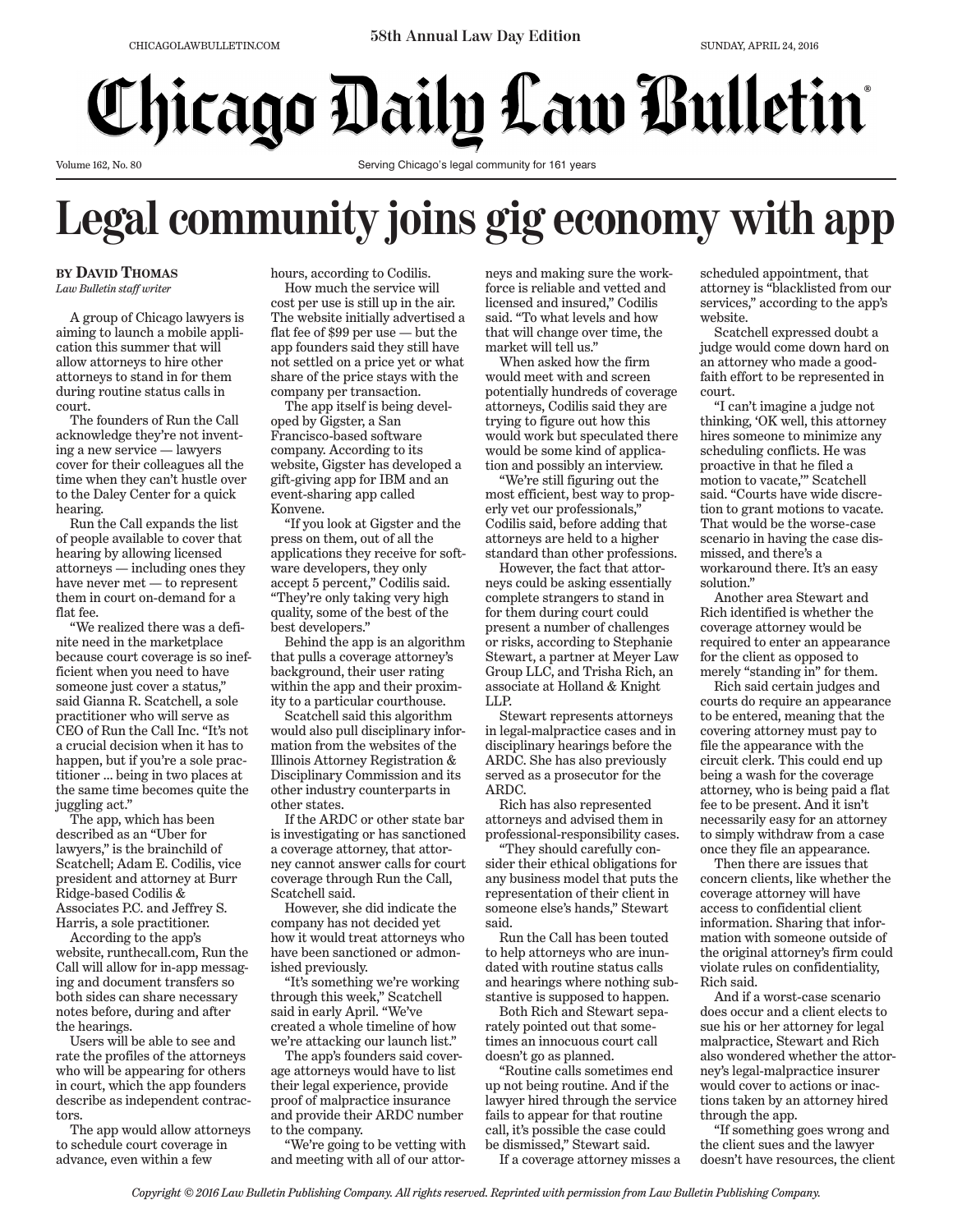## **Chicago Daily Law Bulletin**

Volume 162, No. 80

Serving Chicago's legal community for 161 years

## **Legal community joins gig economy with app**

**BY DAVID THOMAS** *Law Bulletin staff writer*

A group of Chicago lawyers is aiming to launch a mobile application this summer that will allow attorneys to hire other attorneys to stand in for them during routine status calls in court.

The founders of Run the Call acknowledge they're not inventing a new service — lawyers cover for their colleagues all the time when they can't hustle over to the Daley Center for a quick hearing.

Run the Call expands the list of people available to cover that hearing by allowing licensed attorneys — including ones they have never met — to represent them in court on-demand for a flat fee.

"We realized there was a definite need in the marketplace because court coverage is so inefficient when you need to have someone just cover a status," said Gianna R. Scatchell, a sole practitioner who will serve as CEO of Run the Call Inc. "It's not a crucial decision when it has to happen, but if you're a sole practitioner … being in two places at the same time becomes quite the juggling act."

The app, which has been described as an "Uber for lawyers," is the brainchild of Scatchell; Adam E. Codilis, vice president and attorney at Burr Ridge-based Codilis & Associates P.C. and Jeffrey S. Harris, a sole practitioner.

According to the app's website, runthecall.com, Run the Call will allow for in-app messaging and document transfers so both sides can share necessary notes before, during and after the hearings.

Users will be able to see and rate the profiles of the attorneys who will be appearing for others in court, which the app founders describe as independent contractors.

The app would allow attorneys to schedule court coverage in advance, even within a few

hours, according to Codilis. How much the service will

cost per use is still up in the air. The website initially advertised a flat fee of \$99 per use — but the app founders said they still have not settled on a price yet or what share of the price stays with the company per transaction.

The app itself is being developed by Gigster, a San Francisco-based software company. According to its website, Gigster has developed a gift-giving app for IBM and an event-sharing app called Konvene.

"If you look at Gigster and the press on them, out of all the applications they receive for software developers, they only accept 5 percent," Codilis said. "They're only taking very high quality, some of the best of the best developers."

Behind the app is an algorithm that pulls a coverage attorney's background, their user rating within the app and their proximity to a particular courthouse.

Scatchell said this algorithm would also pull disciplinary information from the websites of the Illinois Attorney Registration & Disciplinary Commission and its other industry counterparts in other states.

If the ARDC or other state bar is investigating or has sanctioned a coverage attorney, that attorney cannot answer calls for court coverage through Run the Call, Scatchell said.

However, she did indicate the company has not decided yet how it would treat attorneys who have been sanctioned or admonished previously.

"It's something we're working through this week," Scatchell said in early April. "We've created a whole timeline of how we're attacking our launch list."

The app's founders said coverage attorneys would have to list their legal experience, provide proof of malpractice insurance and provide their ARDC number to the company.

"We're going to be vetting with and meeting with all of our attorneys and making sure the workforce is reliable and vetted and licensed and insured," Codilis said. "To what levels and how that will change over time, the market will tell us."

When asked how the firm would meet with and screen potentially hundreds of coverage attorneys, Codilis said they are trying to figure out how this would work but speculated there would be some kind of application and possibly an interview.

"We're still figuring out the most efficient, best way to properly vet our professionals," Codilis said, before adding that attorneys are held to a higher standard than other professions.

However, the fact that attorneys could be asking essentially complete strangers to stand in for them during court could present a number of challenges or risks, according to Stephanie Stewart, a partner at Meyer Law Group LLC, and Trisha Rich, an associate at Holland & Knight LLP.

Stewart represents attorneys in legal-malpractice cases and in disciplinary hearings before the ARDC. She has also previously served as a prosecutor for the ARDC.

Rich has also represented attorneys and advised them in professional-responsibility cases.

"They should carefully consider their ethical obligations for any business model that puts the representation of their client in someone else's hands," Stewart said.

Run the Call has been touted to help attorneys who are inundated with routine status calls and hearings where nothing substantive is supposed to happen.

Both Rich and Stewart separately pointed out that sometimes an innocuous court call doesn't go as planned.

"Routine calls sometimes end up not being routine. And if the lawyer hired through the service fails to appear for that routine call, it's possible the case could be dismissed," Stewart said.

If a coverage attorney misses a

scheduled appointment, that attorney is "blacklisted from our services," according to the app's website.

Scatchell expressed doubt a judge would come down hard on an attorney who made a goodfaith effort to be represented in court.

"I can't imagine a judge not thinking, 'OK well, this attorney hires someone to minimize any scheduling conflicts. He was proactive in that he filed a motion to vacate,'" Scatchell said. "Courts have wide discretion to grant motions to vacate. That would be the worse-case scenario in having the case dismissed, and there's a workaround there. It's an easy solution."

Another area Stewart and Rich identified is whether the coverage attorney would be required to enter an appearance for the client as opposed to merely "standing in" for them.

Rich said certain judges and courts do require an appearance to be entered, meaning that the covering attorney must pay to file the appearance with the circuit clerk. This could end up being a wash for the coverage attorney, who is being paid a flat fee to be present. And it isn't necessarily easy for an attorney to simply withdraw from a case once they file an appearance.

Then there are issues that concern clients, like whether the coverage attorney will have access to confidential client information. Sharing that information with someone outside of the original attorney's firm could violate rules on confidentiality, Rich said.

And if a worst-case scenario does occur and a client elects to sue his or her attorney for legal malpractice, Stewart and Rich also wondered whether the attorney's legal-malpractice insurer would cover to actions or inactions taken by an attorney hired through the app.

"If something goes wrong and the client sues and the lawyer doesn't have resources, the client